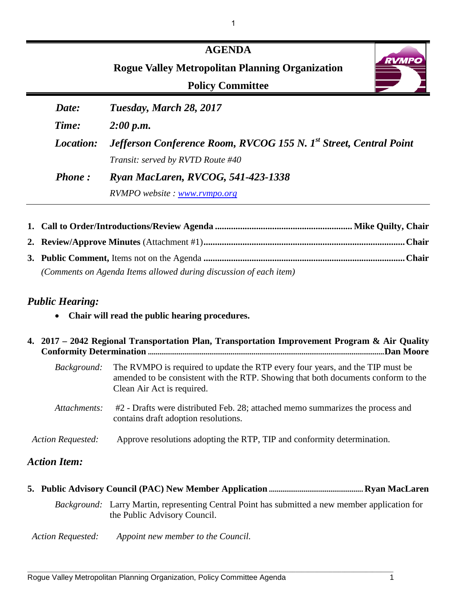|               | <b>AGENDA</b><br><b>RVMP</b><br><b>Rogue Valley Metropolitan Planning Organization</b><br><b>Policy Committee</b> |
|---------------|-------------------------------------------------------------------------------------------------------------------|
| Date:         | Tuesday, March 28, 2017                                                                                           |
| Time:         | 2:00 p.m.                                                                                                         |
| Location:     | Jefferson Conference Room, RVCOG 155 N. 1 <sup>st</sup> Street, Central Point                                     |
|               | Transit: served by RVTD Route #40                                                                                 |
| <b>Phone:</b> | Ryan MacLaren, RVCOG, 541-423-1338                                                                                |
|               | RVMPO website: www.rvmpo.org                                                                                      |

| (Comments on Agenda Items allowed during discussion of each item) |  |
|-------------------------------------------------------------------|--|

# *Public Hearing:*

• **Chair will read the public hearing procedures.**

|                          | 4. 2017 – 2042 Regional Transportation Plan, Transportation Improvement Program & Air Quality<br>.Dan Moore                                                                                      |
|--------------------------|--------------------------------------------------------------------------------------------------------------------------------------------------------------------------------------------------|
| <i>Background:</i>       | The RVMPO is required to update the RTP every four years, and the TIP must be<br>amended to be consistent with the RTP. Showing that both documents conform to the<br>Clean Air Act is required. |
| Attachments:             | #2 - Drafts were distributed Feb. 28; attached memo summarizes the process and<br>contains draft adoption resolutions.                                                                           |
| <b>Action Requested:</b> | Approve resolutions adopting the RTP, TIP and conformity determination.                                                                                                                          |
| <b>Action Item:</b>      |                                                                                                                                                                                                  |

|                          | <i>Background:</i> Larry Martin, representing Central Point has submitted a new member application for<br>the Public Advisory Council. |
|--------------------------|----------------------------------------------------------------------------------------------------------------------------------------|
| <b>Action Requested:</b> | Appoint new member to the Council.                                                                                                     |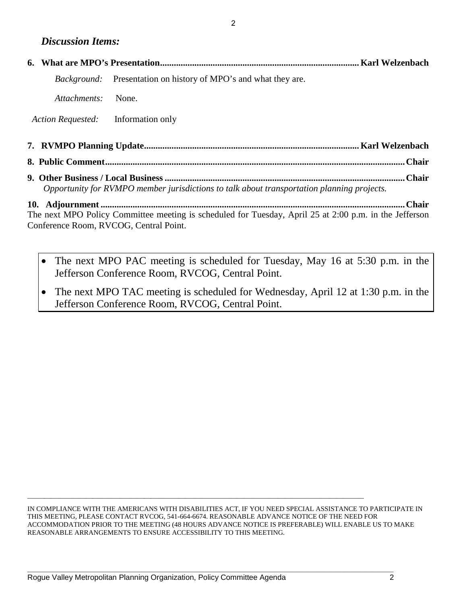# *Discussion Items:*

|                                        | <i>Background:</i> Presentation on history of MPO's and what they are.                                 |  |
|----------------------------------------|--------------------------------------------------------------------------------------------------------|--|
| Attachments:                           | None.                                                                                                  |  |
| Action Requested:                      | Information only                                                                                       |  |
|                                        |                                                                                                        |  |
|                                        |                                                                                                        |  |
|                                        | Opportunity for RVMPO member jurisdictions to talk about transportation planning projects.             |  |
|                                        |                                                                                                        |  |
|                                        | The next MPO Policy Committee meeting is scheduled for Tuesday, April 25 at 2:00 p.m. in the Jefferson |  |
| Conference Room, RVCOG, Central Point. |                                                                                                        |  |

- The next MPO PAC meeting is scheduled for Tuesday, May 16 at 5:30 p.m. in the Jefferson Conference Room, RVCOG, Central Point.
- The next MPO TAC meeting is scheduled for Wednesday, April 12 at 1:30 p.m. in the Jefferson Conference Room, RVCOG, Central Point.

IN COMPLIANCE WITH THE AMERICANS WITH DISABILITIES ACT, IF YOU NEED SPECIAL ASSISTANCE TO PARTICIPATE IN THIS MEETING, PLEASE CONTACT RVCOG, 541-664-6674. REASONABLE ADVANCE NOTICE OF THE NEED FOR ACCOMMODATION PRIOR TO THE MEETING (48 HOURS ADVANCE NOTICE IS PREFERABLE) WILL ENABLE US TO MAKE REASONABLE ARRANGEMENTS TO ENSURE ACCESSIBILITY TO THIS MEETING.

 $\Box$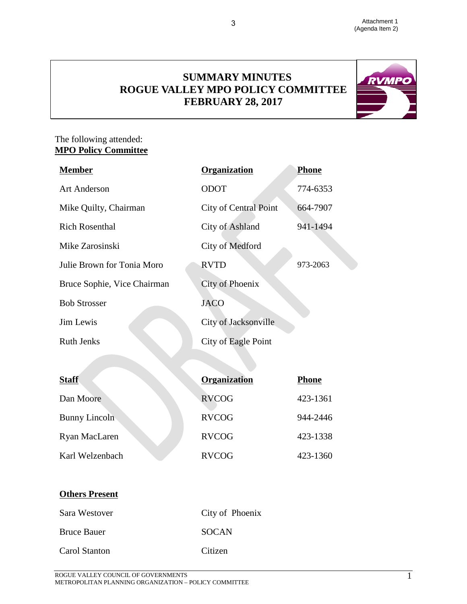# **SUMMARY MINUTES ROGUE VALLEY MPO POLICY COMMITTEE FEBRUARY 28, 2017**

3



# The following attended: **MPO Policy Committee**

| <b>Member</b>               | Organization                 | <b>Phone</b> |
|-----------------------------|------------------------------|--------------|
| <b>Art Anderson</b>         | <b>ODOT</b>                  | 774-6353     |
| Mike Quilty, Chairman       | <b>City of Central Point</b> | 664-7907     |
| <b>Rich Rosenthal</b>       | City of Ashland              | 941-1494     |
| Mike Zarosinski             | City of Medford              |              |
| Julie Brown for Tonia Moro  | <b>RVTD</b>                  | 973-2063     |
| Bruce Sophie, Vice Chairman | City of Phoenix              |              |
| <b>Bob Strosser</b>         | <b>JACO</b>                  |              |
| Jim Lewis                   | City of Jacksonville         |              |
| <b>Ruth Jenks</b>           | City of Eagle Point          |              |
|                             |                              |              |
| <b>Staff</b>                | <b>Organization</b>          | <b>Phone</b> |
| Dan Moore                   | RVCOG                        | 423-1361     |

| wun                  | <b>UI camzauvu</b> | т попс   |
|----------------------|--------------------|----------|
| Dan Moore            | <b>RVCOG</b>       | 423-1361 |
| <b>Bunny Lincoln</b> | <b>RVCOG</b>       | 944-2446 |
| Ryan MacLaren        | <b>RVCOG</b>       | 423-1338 |
| Karl Welzenbach      | <b>RVCOG</b>       | 423-1360 |

# **Others Present**

| Sara Westover      | City of Phoenix |
|--------------------|-----------------|
| <b>Bruce Bauer</b> | <b>SOCAN</b>    |
| Carol Stanton      | Citizen         |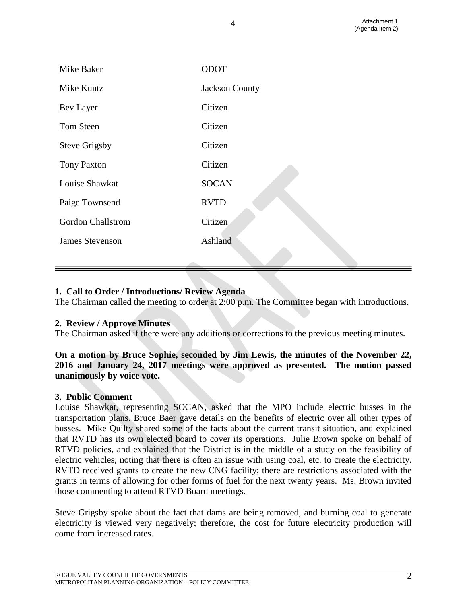| Mike Baker               | ODOT                  |
|--------------------------|-----------------------|
| Mike Kuntz               | <b>Jackson County</b> |
| Bev Layer                | Citizen               |
| Tom Steen                | Citizen               |
| <b>Steve Grigsby</b>     | Citizen               |
| <b>Tony Paxton</b>       | Citizen               |
| Louise Shawkat           | <b>SOCAN</b>          |
| Paige Townsend           | <b>RVTD</b>           |
| <b>Gordon Challstrom</b> | Citizen               |
| <b>James Stevenson</b>   | Ashland               |
|                          |                       |

4

# **1. Call to Order / Introductions/ Review Agenda**

The Chairman called the meeting to order at 2:00 p.m. The Committee began with introductions.

## **2. Review / Approve Minutes**

The Chairman asked if there were any additions or corrections to the previous meeting minutes.

# **On a motion by Bruce Sophie, seconded by Jim Lewis, the minutes of the November 22, 2016 and January 24, 2017 meetings were approved as presented. The motion passed unanimously by voice vote.**

## **3. Public Comment**

Louise Shawkat, representing SOCAN, asked that the MPO include electric busses in the transportation plans. Bruce Baer gave details on the benefits of electric over all other types of busses. Mike Quilty shared some of the facts about the current transit situation, and explained that RVTD has its own elected board to cover its operations. Julie Brown spoke on behalf of RTVD policies, and explained that the District is in the middle of a study on the feasibility of electric vehicles, noting that there is often an issue with using coal, etc. to create the electricity. RVTD received grants to create the new CNG facility; there are restrictions associated with the grants in terms of allowing for other forms of fuel for the next twenty years. Ms. Brown invited those commenting to attend RTVD Board meetings.

Steve Grigsby spoke about the fact that dams are being removed, and burning coal to generate electricity is viewed very negatively; therefore, the cost for future electricity production will come from increased rates.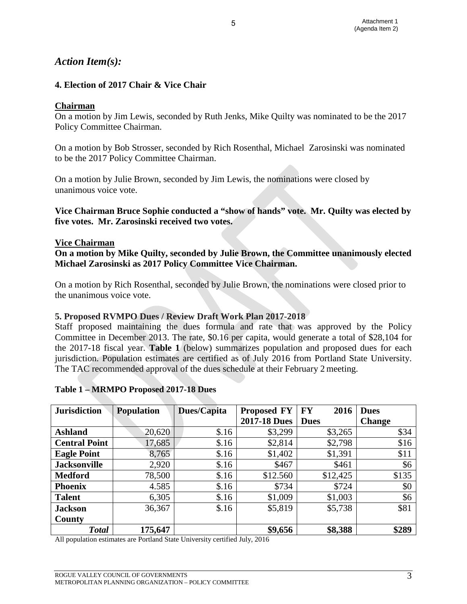# *Action Item(s):*

# **4. Election of 2017 Chair & Vice Chair**

# **Chairman**

On a motion by Jim Lewis, seconded by Ruth Jenks, Mike Quilty was nominated to be the 2017 Policy Committee Chairman.

5

On a motion by Bob Strosser, seconded by Rich Rosenthal, Michael Zarosinski was nominated to be the 2017 Policy Committee Chairman.

On a motion by Julie Brown, seconded by Jim Lewis, the nominations were closed by unanimous voice vote.

# **Vice Chairman Bruce Sophie conducted a "show of hands" vote. Mr. Quilty was elected by five votes. Mr. Zarosinski received two votes.**

## **Vice Chairman**

**On a motion by Mike Quilty, seconded by Julie Brown, the Committee unanimously elected Michael Zarosinski as 2017 Policy Committee Vice Chairman.** 

On a motion by Rich Rosenthal, seconded by Julie Brown, the nominations were closed prior to the unanimous voice vote.

## **5. Proposed RVMPO Dues / Review Draft Work Plan 2017-2018**

Staff proposed maintaining the dues formula and rate that was approved by the Policy Committee in December 2013. The rate, \$0.16 per capita, would generate a total of \$28,104 for the 2017-18 fiscal year. **Table 1** (below) summarizes population and proposed dues for each jurisdiction. Population estimates are certified as of July 2016 from Portland State University. The TAC recommended approval of the dues schedule at their February 2 meeting.

## **Table 1 – MRMPO Proposed 2017-18 Dues**

| <b>Jurisdiction</b>  | <b>Population</b> | <b>Dues/Capita</b> | <b>Proposed FY</b>  | <b>FY</b><br>2016 | <b>Dues</b>   |
|----------------------|-------------------|--------------------|---------------------|-------------------|---------------|
|                      |                   |                    | <b>2017-18 Dues</b> | <b>Dues</b>       | <b>Change</b> |
| <b>Ashland</b>       | 20,620            | \$.16              | \$3,299             | \$3,265           | \$34          |
| <b>Central Point</b> | 17,685            | \$.16              | \$2,814             | \$2,798           | \$16          |
| <b>Eagle Point</b>   | 8,765             | \$.16              | \$1,402             | \$1,391           | \$11          |
| <b>Jacksonville</b>  | 2,920             | \$.16              | \$467               | \$461             | \$6           |
| <b>Medford</b>       | 78,500            | \$.16              | \$12.560            | \$12,425          | \$135         |
| <b>Phoenix</b>       | 4.585             | \$.16              | \$734               | \$724             | \$0           |
| <b>Talent</b>        | 6,305             | \$.16              | \$1,009             | \$1,003           | \$6           |
| <b>Jackson</b>       | 36,367            | \$.16              | \$5,819             | \$5,738           | \$81          |
| County               |                   |                    |                     |                   |               |
| <b>Total</b>         | 175,647           |                    | \$9,656             | \$8,388           | \$289         |

All population estimates are Portland State University certified July, 2016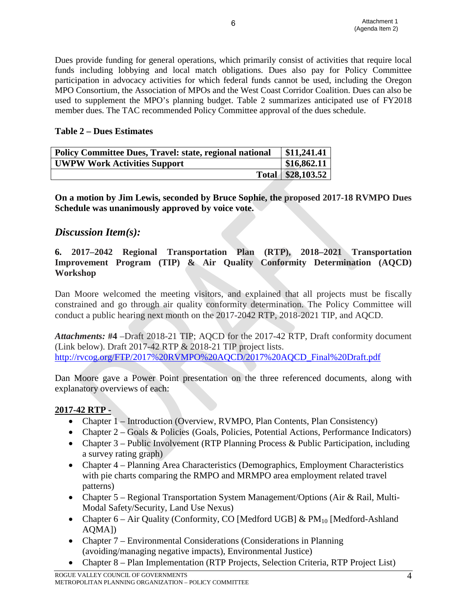Dues provide funding for general operations, which primarily consist of activities that require local funds including lobbying and local match obligations. Dues also pay for Policy Committee participation in advocacy activities for which federal funds cannot be used, including the Oregon MPO Consortium, the Association of MPOs and the West Coast Corridor Coalition. Dues can also be used to supplement the MPO's planning budget. Table 2 summarizes anticipated use of FY2018 member dues. The TAC recommended Policy Committee approval of the dues schedule.

6

## **Table 2 – Dues Estimates**

| <b>Policy Committee Dues, Travel: state, regional national</b> | \$11,241.41         |
|----------------------------------------------------------------|---------------------|
| <b>UWPW Work Activities Support</b>                            | \$16,862.11         |
|                                                                | Total   \$28,103.52 |

**On a motion by Jim Lewis, seconded by Bruce Sophie, the proposed 2017-18 RVMPO Dues Schedule was unanimously approved by voice vote.**

# *Discussion Item(s):*

# **6. 2017–2042 Regional Transportation Plan (RTP), 2018–2021 Transportation Improvement Program (TIP) & Air Quality Conformity Determination (AQCD) Workshop**

Dan Moore welcomed the meeting visitors, and explained that all projects must be fiscally constrained and go through air quality conformity determination. The Policy Committee will conduct a public hearing next month on the 2017-2042 RTP, 2018-2021 TIP, and AQCD.

*Attachments:* **#4** –Draft 2018-21 TIP; AQCD for the 2017-42 RTP, Draft conformity document (Link below). Draft 2017-42 RTP & 2018-21 TIP project lists. [http://rvcog.org/FTP/2017%20RVMPO%20AQCD/2017%20AQCD\\_Final%20Draft.pdf](http://rvcog.org/FTP/2017%20RVMPO%20AQCD/2017%20AQCD_Final%20Draft.pdf)

Dan Moore gave a Power Point presentation on the three referenced documents, along with explanatory overviews of each:

## **2017-42 RTP -**

- Chapter 1 Introduction (Overview, RVMPO, Plan Contents, Plan Consistency)
- Chapter 2 Goals & Policies (Goals, Policies, Potential Actions, Performance Indicators)
- Chapter 3 Public Involvement (RTP Planning Process & Public Participation, including a survey rating graph)
- Chapter 4 Planning Area Characteristics (Demographics, Employment Characteristics with pie charts comparing the RMPO and MRMPO area employment related travel patterns)
- Chapter 5 Regional Transportation System Management/Options (Air & Rail, Multi-Modal Safety/Security, Land Use Nexus)
- Chapter 6 Air Quality (Conformity, CO [Medford UGB] &  $PM_{10}$  [Medford-Ashland AQMA])
- Chapter 7 Environmental Considerations (Considerations in Planning (avoiding/managing negative impacts), Environmental Justice)
- Chapter 8 Plan Implementation (RTP Projects, Selection Criteria, RTP Project List)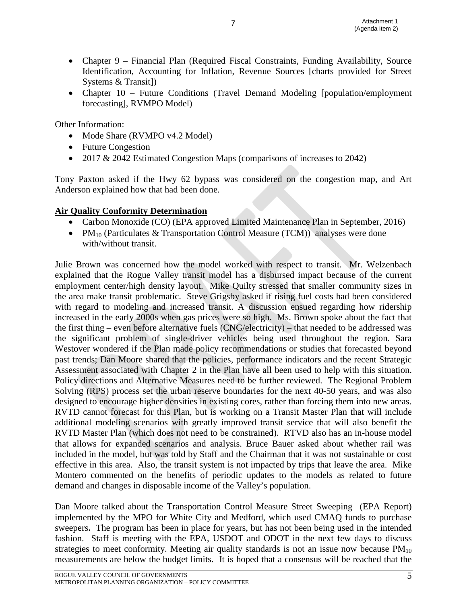• Chapter 9 – Financial Plan (Required Fiscal Constraints, Funding Availability, Source Identification, Accounting for Inflation, Revenue Sources [charts provided for Street Systems & Transit])

7

• Chapter 10 – Future Conditions (Travel Demand Modeling [population/employment] forecasting], RVMPO Model)

Other Information:

- Mode Share (RVMPO v4.2 Model)
- Future Congestion
- 2017 & 2042 Estimated Congestion Maps (comparisons of increases to 2042)

Tony Paxton asked if the Hwy 62 bypass was considered on the congestion map, and Art Anderson explained how that had been done.

# **Air Quality Conformity Determination**

- Carbon Monoxide (CO) (EPA approved Limited Maintenance Plan in September, 2016)
- PM<sub>10</sub> (Particulates & Transportation Control Measure (TCM)) analyses were done with/without transit.

Julie Brown was concerned how the model worked with respect to transit. Mr. Welzenbach explained that the Rogue Valley transit model has a disbursed impact because of the current employment center/high density layout. Mike Quilty stressed that smaller community sizes in the area make transit problematic. Steve Grigsby asked if rising fuel costs had been considered with regard to modeling and increased transit. A discussion ensued regarding how ridership increased in the early 2000s when gas prices were so high. Ms. Brown spoke about the fact that the first thing – even before alternative fuels (CNG/electricity) – that needed to be addressed was the significant problem of single-driver vehicles being used throughout the region. Sara Westover wondered if the Plan made policy recommendations or studies that forecasted beyond past trends; Dan Moore shared that the policies, performance indicators and the recent Strategic Assessment associated with Chapter 2 in the Plan have all been used to help with this situation. Policy directions and Alternative Measures need to be further reviewed. The Regional Problem Solving (RPS) process set the urban reserve boundaries for the next 40-50 years, and was also designed to encourage higher densities in existing cores, rather than forcing them into new areas. RVTD cannot forecast for this Plan, but is working on a Transit Master Plan that will include additional modeling scenarios with greatly improved transit service that will also benefit the RVTD Master Plan (which does not need to be constrained). RTVD also has an in-house model that allows for expanded scenarios and analysis. Bruce Bauer asked about whether rail was included in the model, but was told by Staff and the Chairman that it was not sustainable or cost effective in this area. Also, the transit system is not impacted by trips that leave the area. Mike Montero commented on the benefits of periodic updates to the models as related to future demand and changes in disposable income of the Valley's population.

Dan Moore talked about the Transportation Control Measure Street Sweeping (EPA Report) implemented by the MPO for White City and Medford, which used CMAQ funds to purchase sweepers**.** The program has been in place for years, but has not been being used in the intended fashion. Staff is meeting with the EPA, USDOT and ODOT in the next few days to discuss strategies to meet conformity. Meeting air quality standards is not an issue now because  $PM_{10}$ measurements are below the budget limits. It is hoped that a consensus will be reached that the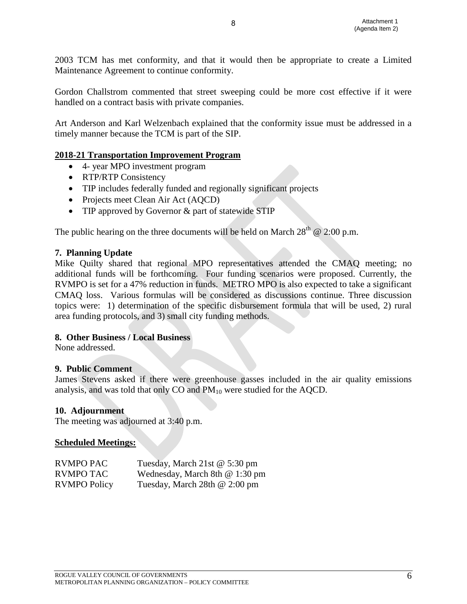2003 TCM has met conformity, and that it would then be appropriate to create a Limited Maintenance Agreement to continue conformity.

8

Gordon Challstrom commented that street sweeping could be more cost effective if it were handled on a contract basis with private companies.

Art Anderson and Karl Welzenbach explained that the conformity issue must be addressed in a timely manner because the TCM is part of the SIP.

# **2018-21 Transportation Improvement Program**

- 4- year MPO investment program
- RTP/RTP Consistency
- TIP includes federally funded and regionally significant projects
- Projects meet Clean Air Act (AQCD)
- TIP approved by Governor & part of statewide STIP

The public hearing on the three documents will be held on March  $28^{th}$  @ 2:00 p.m.

#### **7. Planning Update**

Mike Quilty shared that regional MPO representatives attended the CMAQ meeting; no additional funds will be forthcoming. Four funding scenarios were proposed. Currently, the RVMPO is set for a 47% reduction in funds. METRO MPO is also expected to take a significant CMAQ loss. Various formulas will be considered as discussions continue. Three discussion topics were: 1) determination of the specific disbursement formula that will be used, 2) rural area funding protocols, and 3) small city funding methods.

## **8. Other Business / Local Business**

None addressed.

## **9. Public Comment**

James Stevens asked if there were greenhouse gasses included in the air quality emissions analysis, and was told that only  $CO$  and  $PM_{10}$  were studied for the AQCD.

#### **10. Adjournment**

The meeting was adjourned at 3:40 p.m.

#### **Scheduled Meetings:**

| <b>RVMPO PAC</b>    | Tuesday, March 21st @ 5:30 pm  |
|---------------------|--------------------------------|
| <b>RVMPO TAC</b>    | Wednesday, March 8th @ 1:30 pm |
| <b>RVMPO Policy</b> | Tuesday, March 28th @ 2:00 pm  |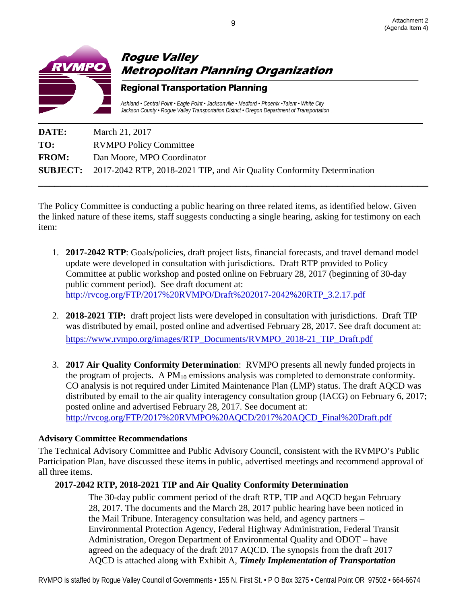

| DATE:        | March 21, 2017                                                                         |
|--------------|----------------------------------------------------------------------------------------|
| TO:          | <b>RVMPO Policy Committee</b>                                                          |
| <b>FROM:</b> | Dan Moore, MPO Coordinator                                                             |
|              | <b>SUBJECT:</b> 2017-2042 RTP, 2018-2021 TIP, and Air Quality Conformity Determination |
|              |                                                                                        |

The Policy Committee is conducting a public hearing on three related items, as identified below. Given the linked nature of these items, staff suggests conducting a single hearing, asking for testimony on each item:

- 1. **2017-2042 RTP**: Goals/policies, draft project lists, financial forecasts, and travel demand model update were developed in consultation with jurisdictions. Draft RTP provided to Policy Committee at public workshop and posted online on February 28, 2017 (beginning of 30-day public comment period). See draft document at: [http://rvcog.org/FTP/2017%20RVMPO/Draft%202017-2042%20RTP\\_3.2.17.pdf](http://rvcog.org/FTP/2017%20RVMPO/Draft%202017-2042%20RTP_3.2.17.pdf)
- 2. **2018-2021 TIP:** draft project lists were developed in consultation with jurisdictions. Draft TIP was distributed by email, posted online and advertised February 28, 2017. See draft document at: [https://www.rvmpo.org/images/RTP\\_Documents/RVMPO\\_2018-21\\_TIP\\_Draft.pdf](https://www.rvmpo.org/images/RTP_Documents/RVMPO_2018-21_TIP_Draft.pdf)
- 3. **2017 Air Quality Conformity Determination**: RVMPO presents all newly funded projects in the program of projects. A  $PM_{10}$  emissions analysis was completed to demonstrate conformity. CO analysis is not required under Limited Maintenance Plan (LMP) status. The draft AQCD was distributed by email to the air quality interagency consultation group (IACG) on February 6, 2017; posted online and advertised February 28, 2017. See document at: [http://rvcog.org/FTP/2017%20RVMPO%20AQCD/2017%20AQCD\\_Final%20Draft.pdf](http://rvcog.org/FTP/2017%20RVMPO%20AQCD/2017%20AQCD_Final%20Draft.pdf)

# **Advisory Committee Recommendations**

The Technical Advisory Committee and Public Advisory Council, consistent with the RVMPO's Public Participation Plan, have discussed these items in public, advertised meetings and recommend approval of all three items.

# **2017-2042 RTP, 2018-2021 TIP and Air Quality Conformity Determination**

The 30-day public comment period of the draft RTP, TIP and AQCD began February 28, 2017. The documents and the March 28, 2017 public hearing have been noticed in the Mail Tribune. Interagency consultation was held, and agency partners – Environmental Protection Agency, Federal Highway Administration, Federal Transit Administration, Oregon Department of Environmental Quality and ODOT – have agreed on the adequacy of the draft 2017 AQCD. The synopsis from the draft 2017 AQCD is attached along with Exhibit A, *Timely Implementation of Transportation*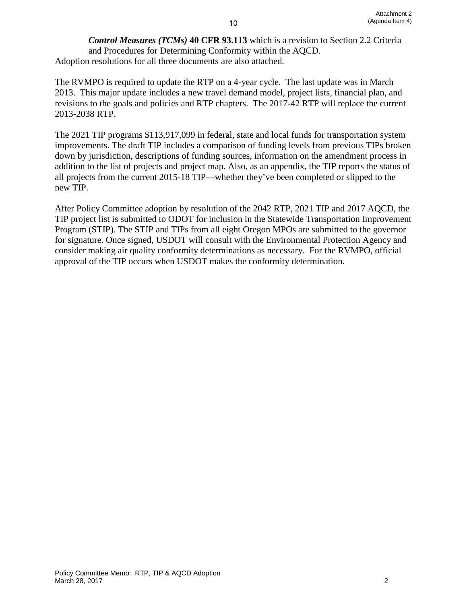*Control Measures (TCMs)* **40 CFR 93.113** which is a revision to Section 2.2 Criteria and Procedures for Determining Conformity within the AQCD. Adoption resolutions for all three documents are also attached.

10

The RVMPO is required to update the RTP on a 4-year cycle. The last update was in March 2013. This major update includes a new travel demand model, project lists, financial plan, and revisions to the goals and policies and RTP chapters. The 2017-42 RTP will replace the current 2013-2038 RTP.

The 2021 TIP programs \$113,917,099 in federal, state and local funds for transportation system improvements. The draft TIP includes a comparison of funding levels from previous TIPs broken down by jurisdiction, descriptions of funding sources, information on the amendment process in addition to the list of projects and project map. Also, as an appendix, the TIP reports the status of all projects from the current 2015-18 TIP—whether they've been completed or slipped to the new TIP.

After Policy Committee adoption by resolution of the 2042 RTP, 2021 TIP and 2017 AQCD, the TIP project list is submitted to ODOT for inclusion in the Statewide Transportation Improvement Program (STIP). The STIP and TIPs from all eight Oregon MPOs are submitted to the governor for signature. Once signed, USDOT will consult with the Environmental Protection Agency and consider making air quality conformity determinations as necessary. For the RVMPO, official approval of the TIP occurs when USDOT makes the conformity determination.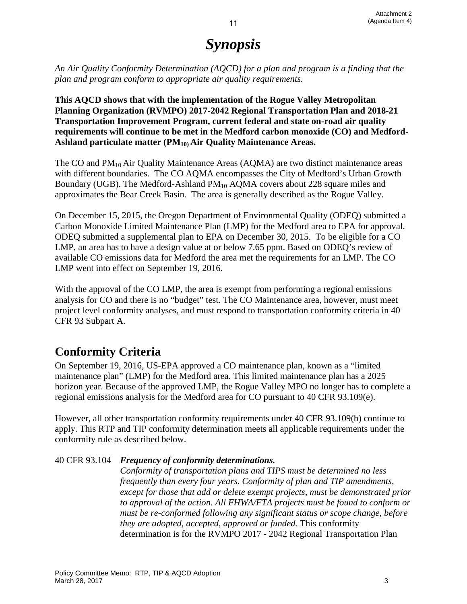# *Synopsis*

*An Air Quality Conformity Determination (AQCD) for a plan and program is a finding that the plan and program conform to appropriate air quality requirements.* 

**This AQCD shows that with the implementation of the Rogue Valley Metropolitan Planning Organization (RVMPO) 2017-2042 Regional Transportation Plan and 2018-21 Transportation Improvement Program, current federal and state on-road air quality requirements will continue to be met in the Medford carbon monoxide (CO) and Medford-**Ashland particulate matter (PM<sub>10)</sub> Air Quality Maintenance Areas.

The CO and  $PM_{10}$  Air Quality Maintenance Areas (AQMA) are two distinct maintenance areas with different boundaries. The CO AQMA encompasses the City of Medford's Urban Growth Boundary (UGB). The Medford-Ashland PM<sub>10</sub> AQMA covers about 228 square miles and approximates the Bear Creek Basin. The area is generally described as the Rogue Valley.

On December 15, 2015, the Oregon Department of Environmental Quality (ODEQ) submitted a Carbon Monoxide Limited Maintenance Plan (LMP) for the Medford area to EPA for approval. ODEQ submitted a supplemental plan to EPA on December 30, 2015. To be eligible for a CO LMP, an area has to have a design value at or below 7.65 ppm. Based on ODEQ's review of available CO emissions data for Medford the area met the requirements for an LMP. The CO LMP went into effect on September 19, 2016.

With the approval of the CO LMP, the area is exempt from performing a regional emissions analysis for CO and there is no "budget" test. The CO Maintenance area, however, must meet project level conformity analyses, and must respond to transportation conformity criteria in 40 CFR 93 Subpart A.

# **Conformity Criteria**

On September 19, 2016, US-EPA approved a CO maintenance plan, known as a "limited maintenance plan" (LMP) for the Medford area. This limited maintenance plan has a 2025 horizon year. Because of the approved LMP, the Rogue Valley MPO no longer has to complete a regional emissions analysis for the Medford area for CO pursuant to 40 CFR 93.109(e).

However, all other transportation conformity requirements under 40 CFR 93.109(b) continue to apply. This RTP and TIP conformity determination meets all applicable requirements under the conformity rule as described below.

# 40 CFR 93.104 *Frequency of conformity determinations.*

*Conformity of transportation plans and TIPS must be determined no less frequently than every four years. Conformity of plan and TIP amendments, except for those that add or delete exempt projects, must be demonstrated prior to approval of the action. All FHWA/FTA projects must be found to conform or must be re-conformed following any significant status or scope change, before they are adopted, accepted, approved or funded.* This conformity determination is for the RVMPO 2017 - 2042 Regional Transportation Plan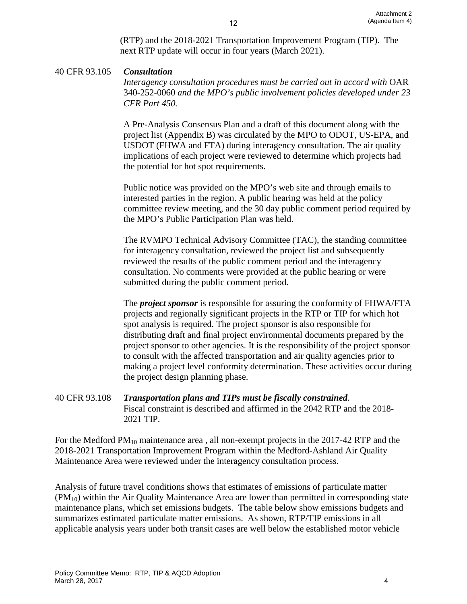(RTP) and the 2018-2021 Transportation Improvement Program (TIP). The next RTP update will occur in four years (March 2021).

12

# 40 CFR 93.105 *Consultation*

*Interagency consultation procedures must be carried out in accord with OAR* 340-252-0060 *and the MPO's public involvement policies developed under 23 CFR Part 450.* 

A Pre-Analysis Consensus Plan and a draft of this document along with the project list (Appendix B) was circulated by the MPO to ODOT, US-EPA, and USDOT (FHWA and FTA) during interagency consultation. The air quality implications of each project were reviewed to determine which projects had the potential for hot spot requirements.

Public notice was provided on the MPO's web site and through emails to interested parties in the region. A public hearing was held at the policy committee review meeting, and the 30 day public comment period required by the MPO's Public Participation Plan was held.

The RVMPO Technical Advisory Committee (TAC), the standing committee for interagency consultation, reviewed the project list and subsequently reviewed the results of the public comment period and the interagency consultation. No comments were provided at the public hearing or were submitted during the public comment period.

The *project sponsor* is responsible for assuring the conformity of FHWA/FTA projects and regionally significant projects in the RTP or TIP for which hot spot analysis is required. The project sponsor is also responsible for distributing draft and final project environmental documents prepared by the project sponsor to other agencies. It is the responsibility of the project sponsor to consult with the affected transportation and air quality agencies prior to making a project level conformity determination. These activities occur during the project design planning phase.

40 CFR 93.108 *Transportation plans and TIPs must be fiscally constrained.*  Fiscal constraint is described and affirmed in the 2042 RTP and the 2018- 2021 TIP.

For the Medford  $PM_{10}$  maintenance area, all non-exempt projects in the 2017-42 RTP and the 2018-2021 Transportation Improvement Program within the Medford-Ashland Air Quality Maintenance Area were reviewed under the interagency consultation process.

Analysis of future travel conditions shows that estimates of emissions of particulate matter  $(PM_{10})$  within the Air Quality Maintenance Area are lower than permitted in corresponding state maintenance plans, which set emissions budgets. The table below show emissions budgets and summarizes estimated particulate matter emissions. As shown, RTP/TIP emissions in all applicable analysis years under both transit cases are well below the established motor vehicle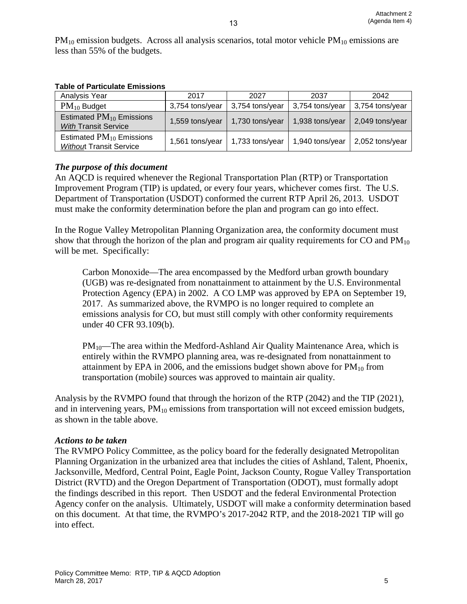$PM_{10}$  emission budgets. Across all analysis scenarios, total motor vehicle  $PM_{10}$  emissions are less than 55% of the budgets.

| Analysis Year                                                   | 2017            | 2027            | 2037            | 2042            |
|-----------------------------------------------------------------|-----------------|-----------------|-----------------|-----------------|
| $PM_{10}$ Budget                                                | 3,754 tons/year | 3,754 tons/year | 3,754 tons/year | 3,754 tons/year |
| Estimated $PM_{10}$ Emissions<br><b>With Transit Service</b>    | 1,559 tons/year | 1,730 tons/year | 1,938 tons/year | 2,049 tons/year |
| Estimated $PM_{10}$ Emissions<br><b>Without Transit Service</b> | 1,561 tons/year | 1,733 tons/year | 1,940 tons/year | 2,052 tons/year |

# *The purpose of this document*

An AQCD is required whenever the Regional Transportation Plan (RTP) or Transportation Improvement Program (TIP) is updated, or every four years, whichever comes first. The U.S. Department of Transportation (USDOT) conformed the current RTP April 26, 2013. USDOT must make the conformity determination before the plan and program can go into effect.

In the Rogue Valley Metropolitan Planning Organization area, the conformity document must show that through the horizon of the plan and program air quality requirements for  $CO$  and  $PM_{10}$ will be met. Specifically:

Carbon Monoxide—The area encompassed by the Medford urban growth boundary (UGB) was re-designated from nonattainment to attainment by the U.S. Environmental Protection Agency (EPA) in 2002. A CO LMP was approved by EPA on September 19, 2017. As summarized above, the RVMPO is no longer required to complete an emissions analysis for CO, but must still comply with other conformity requirements under 40 CFR 93.109(b).

 $PM_{10}$ —The area within the Medford-Ashland Air Quality Maintenance Area, which is entirely within the RVMPO planning area, was re-designated from nonattainment to attainment by EPA in 2006, and the emissions budget shown above for  $PM_{10}$  from transportation (mobile) sources was approved to maintain air quality.

Analysis by the RVMPO found that through the horizon of the RTP (2042) and the TIP (2021), and in intervening years,  $PM_{10}$  emissions from transportation will not exceed emission budgets, as shown in the table above.

# *Actions to be taken*

The RVMPO Policy Committee, as the policy board for the federally designated Metropolitan Planning Organization in the urbanized area that includes the cities of Ashland, Talent, Phoenix, Jacksonville, Medford, Central Point, Eagle Point, Jackson County, Rogue Valley Transportation District (RVTD) and the Oregon Department of Transportation (ODOT), must formally adopt the findings described in this report. Then USDOT and the federal Environmental Protection Agency confer on the analysis. Ultimately, USDOT will make a conformity determination based on this document. At that time, the RVMPO's 2017-2042 RTP, and the 2018-2021 TIP will go into effect.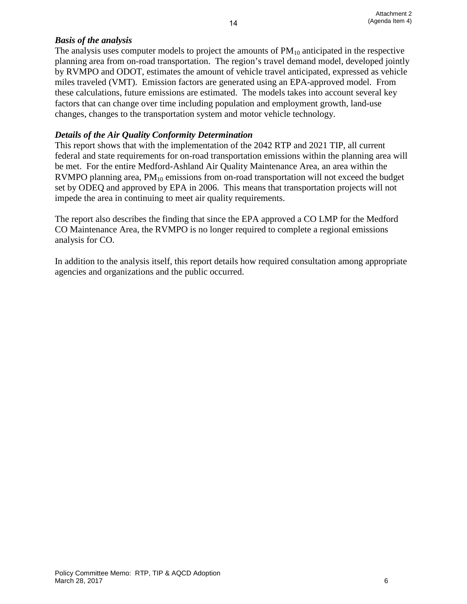# *Basis of the analysis*

The analysis uses computer models to project the amounts of  $PM_{10}$  anticipated in the respective planning area from on-road transportation. The region's travel demand model, developed jointly by RVMPO and ODOT, estimates the amount of vehicle travel anticipated, expressed as vehicle miles traveled (VMT). Emission factors are generated using an EPA-approved model. From these calculations, future emissions are estimated. The models takes into account several key factors that can change over time including population and employment growth, land-use changes, changes to the transportation system and motor vehicle technology.

14

# *Details of the Air Quality Conformity Determination*

This report shows that with the implementation of the 2042 RTP and 2021 TIP, all current federal and state requirements for on-road transportation emissions within the planning area will be met. For the entire Medford-Ashland Air Quality Maintenance Area, an area within the RVMPO planning area,  $PM_{10}$  emissions from on-road transportation will not exceed the budget set by ODEQ and approved by EPA in 2006. This means that transportation projects will not impede the area in continuing to meet air quality requirements.

The report also describes the finding that since the EPA approved a CO LMP for the Medford CO Maintenance Area, the RVMPO is no longer required to complete a regional emissions analysis for CO.

In addition to the analysis itself, this report details how required consultation among appropriate agencies and organizations and the public occurred.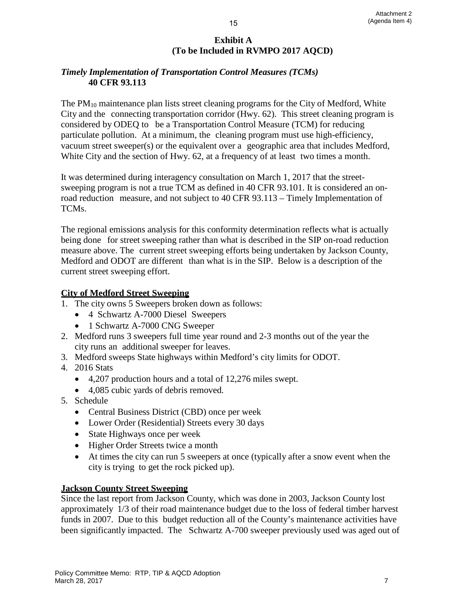# **Exhibit A (To be Included in RVMPO 2017 AQCD)**

# *Timely Implementation of Transportation Control Measures (TCMs)* **40 CFR 93.113**

The  $PM_{10}$  maintenance plan lists street cleaning programs for the City of Medford, White City and the connecting transportation corridor (Hwy. 62). This street cleaning program is considered by ODEQ to be a Transportation Control Measure (TCM) for reducing particulate pollution. At a minimum, the cleaning program must use high-efficiency, vacuum street sweeper(s) or the equivalent over a geographic area that includes Medford, White City and the section of Hwy. 62, at a frequency of at least two times a month.

It was determined during interagency consultation on March 1, 2017 that the streetsweeping program is not a true TCM as defined in 40 CFR 93.101. It is considered an onroad reduction measure, and not subject to 40 CFR 93.113 – Timely Implementation of TCMs.

The regional emissions analysis for this conformity determination reflects what is actually being done for street sweeping rather than what is described in the SIP on-road reduction measure above. The current street sweeping efforts being undertaken by Jackson County, Medford and ODOT are different than what is in the SIP. Below is a description of the current street sweeping effort.

# **City of Medford Street Sweeping**

- 1. The city owns 5 Sweepers broken down as follows:
	- 4 Schwartz A-7000 Diesel Sweepers
	- 1 Schwartz A-7000 CNG Sweeper
- 2. Medford runs 3 sweepers full time year round and 2-3 months out of the year the city runs an additional sweeper for leaves.
- 3. Medford sweeps State highways within Medford's city limits for ODOT.
- 4. 2016 Stats
	- 4,207 production hours and a total of 12,276 miles swept.
	- 4,085 cubic yards of debris removed.
- 5. Schedule
	- Central Business District (CBD) once per week
	- Lower Order (Residential) Streets every 30 days
	- State Highways once per week
	- Higher Order Streets twice a month
	- At times the city can run 5 sweepers at once (typically after a snow event when the city is trying to get the rock picked up).

# **Jackson County Street Sweeping**

Since the last report from Jackson County, which was done in 2003, Jackson County lost approximately 1/3 of their road maintenance budget due to the loss of federal timber harvest funds in 2007. Due to this budget reduction all of the County's maintenance activities have been significantly impacted. The Schwartz A-700 sweeper previously used was aged out of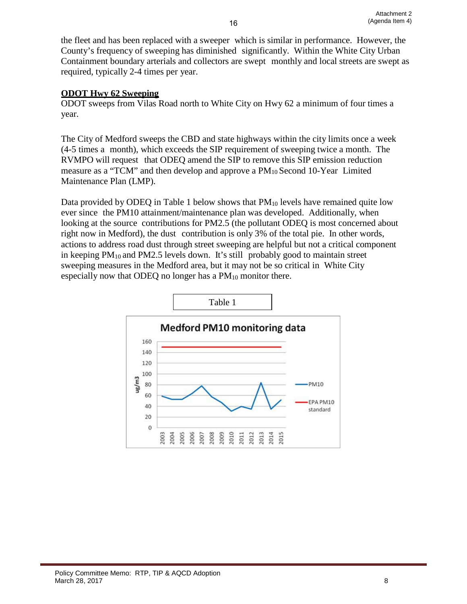the fleet and has been replaced with a sweeper which is similar in performance. However, the County's frequency of sweeping has diminished significantly. Within the White City Urban Containment boundary arterials and collectors are swept monthly and local streets are swept as required, typically 2-4 times per year.

# **ODOT Hwy 62 Sweeping**

ODOT sweeps from Vilas Road north to White City on Hwy 62 a minimum of four times a year.

The City of Medford sweeps the CBD and state highways within the city limits once a week (4-5 times a month), which exceeds the SIP requirement of sweeping twice a month. The RVMPO will request that ODEQ amend the SIP to remove this SIP emission reduction measure as a "TCM" and then develop and approve a PM10 Second 10-Year Limited Maintenance Plan (LMP).

Data provided by ODEQ in Table 1 below shows that  $PM_{10}$  levels have remained quite low ever since the PM10 attainment/maintenance plan was developed. Additionally, when looking at the source contributions for PM2.5 (the pollutant ODEQ is most concerned about right now in Medford), the dust contribution is only 3% of the total pie. In other words, actions to address road dust through street sweeping are helpful but not a critical component in keeping  $PM_{10}$  and  $PM2.5$  levels down. It's still probably good to maintain street sweeping measures in the Medford area, but it may not be so critical in White City especially now that ODEQ no longer has a  $PM_{10}$  monitor there.

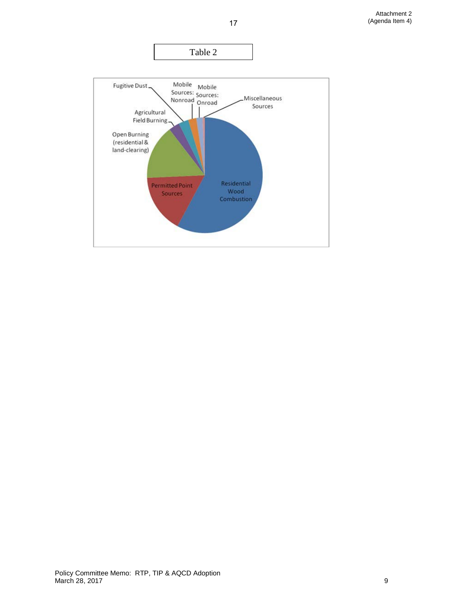Attachment 2 (Agenda Item 4)

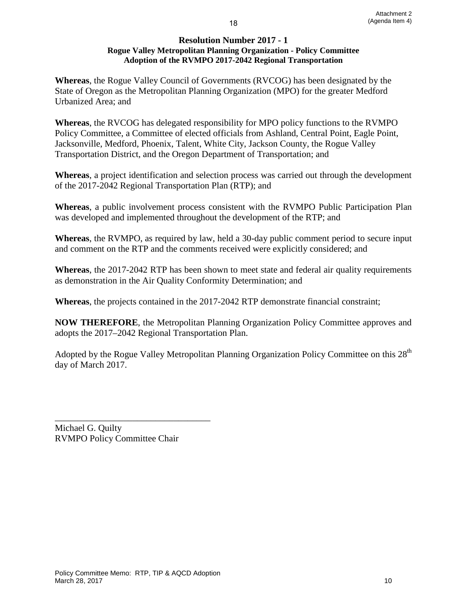#### **Resolution Number 2017 - 1 Rogue Valley Metropolitan Planning Organization - Policy Committee Adoption of the RVMPO 2017-2042 Regional Transportation**

18

**Whereas**, the Rogue Valley Council of Governments (RVCOG) has been designated by the State of Oregon as the Metropolitan Planning Organization (MPO) for the greater Medford Urbanized Area; and

**Whereas**, the RVCOG has delegated responsibility for MPO policy functions to the RVMPO Policy Committee, a Committee of elected officials from Ashland, Central Point, Eagle Point, Jacksonville, Medford, Phoenix, Talent, White City, Jackson County, the Rogue Valley Transportation District, and the Oregon Department of Transportation; and

**Whereas**, a project identification and selection process was carried out through the development of the 2017-2042 Regional Transportation Plan (RTP); and

**Whereas**, a public involvement process consistent with the RVMPO Public Participation Plan was developed and implemented throughout the development of the RTP; and

**Whereas**, the RVMPO, as required by law, held a 30-day public comment period to secure input and comment on the RTP and the comments received were explicitly considered; and

**Whereas**, the 2017-2042 RTP has been shown to meet state and federal air quality requirements as demonstration in the Air Quality Conformity Determination; and

**Whereas**, the projects contained in the 2017-2042 RTP demonstrate financial constraint;

**NOW THEREFORE**, the Metropolitan Planning Organization Policy Committee approves and adopts the 2017–2042 Regional Transportation Plan.

Adopted by the Rogue Valley Metropolitan Planning Organization Policy Committee on this  $28<sup>th</sup>$ day of March 2017.

\_\_\_\_\_\_\_\_\_\_\_\_\_\_\_\_\_\_\_\_\_\_\_\_\_\_\_\_\_\_\_\_\_\_ Michael G. Quilty RVMPO Policy Committee Chair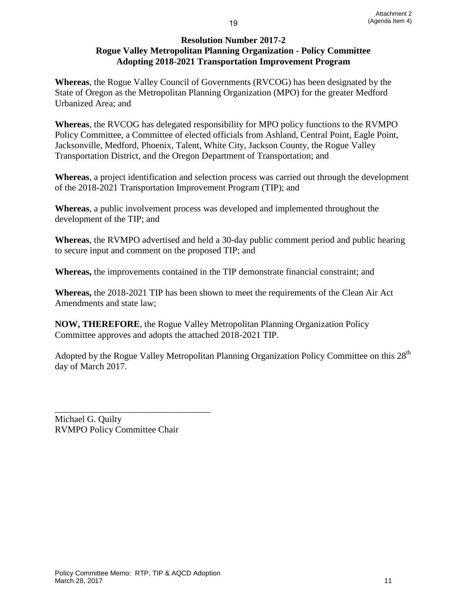## **Resolution Number 2017-2 Rogue Valley Metropolitan Planning Organization - Policy Committee Adopting 2018-2021 Transportation Improvement Program**

**Whereas**, the Rogue Valley Council of Governments (RVCOG) has been designated by the State of Oregon as the Metropolitan Planning Organization (MPO) for the greater Medford Urbanized Area; and

**Whereas**, the RVCOG has delegated responsibility for MPO policy functions to the RVMPO Policy Committee, a Committee of elected officials from Ashland, Central Point, Eagle Point, Jacksonville, Medford, Phoenix, Talent, White City, Jackson County, the Rogue Valley Transportation District, and the Oregon Department of Transportation; and

**Whereas**, a project identification and selection process was carried out through the development of the 2018-2021 Transportation Improvement Program (TIP); and

**Whereas**, a public involvement process was developed and implemented throughout the development of the TIP; and

**Whereas**, the RVMPO advertised and held a 30-day public comment period and public hearing to secure input and comment on the proposed TIP; and

**Whereas,** the improvements contained in the TIP demonstrate financial constraint; and

**Whereas,** the 2018-2021 TIP has been shown to meet the requirements of the Clean Air Act Amendments and state law;

**NOW, THEREFORE**, the Rogue Valley Metropolitan Planning Organization Policy Committee approves and adopts the attached 2018-2021 TIP.

Adopted by the Rogue Valley Metropolitan Planning Organization Policy Committee on this 28<sup>th</sup> day of March 2017.

\_\_\_\_\_\_\_\_\_\_\_\_\_\_\_\_\_\_\_\_\_\_\_\_\_\_\_\_\_\_\_\_\_\_ Michael G. Quilty RVMPO Policy Committee Chair